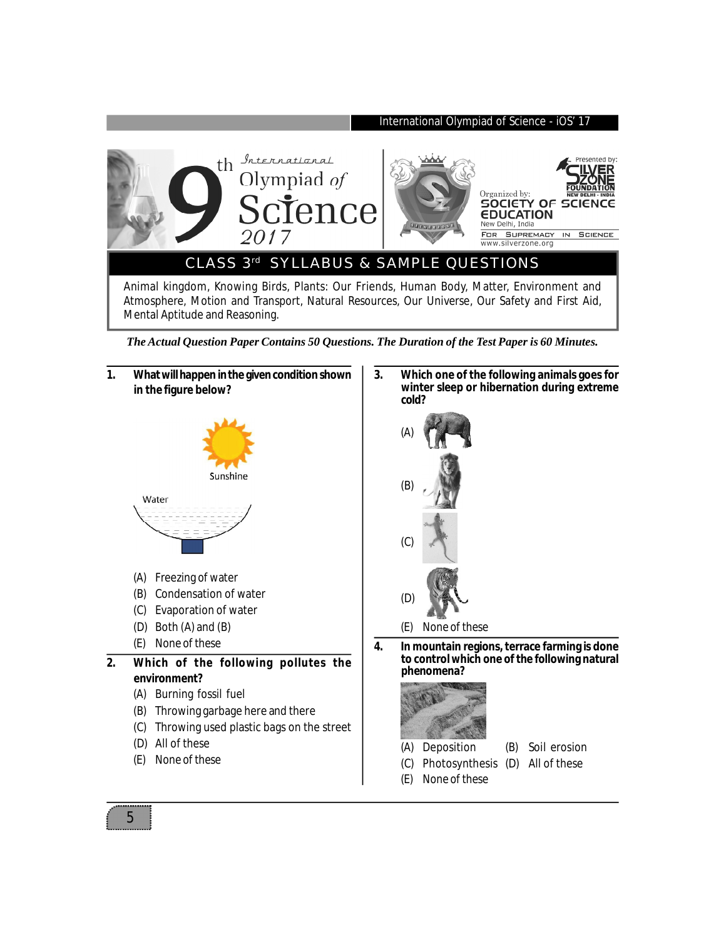

*The Actual Question Paper Contains 50 Questions. The Duration of the Test Paper is 60 Minutes.*



**3. Which one of the following animals goes for winter sleep or hibernation during extreme cold?**



**4. In mountain regions, terrace farming is done to control which one of the following natural phenomena?**



- (A) Deposition (B) Soil erosion
- (C) Photosynthesis (D) All of these
- (E) None of these

5